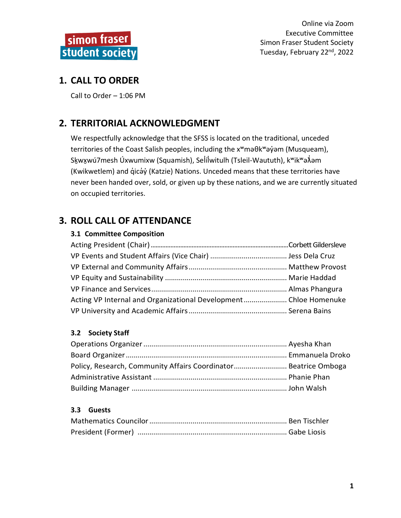

# **1. CALL TO ORDER**

Call to Order – 1:06 PM

# **2. TERRITORIAL ACKNOWLEDGMENT**

We respectfully acknowledge that the SFSS is located on the traditional, unceded territories of the Coast Salish peoples, including the x<sup>w</sup>maθk<sup>w</sup>ay̓am (Musqueam), Skwxwú7mesh Úxwumixw (Squamish), Selílwitulh (Tsleil-Waututh), k<sup>w</sup>ik<sup>w</sup>ə $\hat{x}$ əm (Kwikwetlem) and q̓icə̓y̓(Katzie) Nations. Unceded means that these territories have never been handed over, sold, or given up by these nations, and we are currently situated on occupied territories.

# **3. ROLL CALL OF ATTENDANCE**

## **3.1 Committee Composition**

| Acting VP Internal and Organizational Development Chloe Homenuke |  |
|------------------------------------------------------------------|--|
|                                                                  |  |

## **3.2 Society Staff**

| Policy, Research, Community Affairs Coordinator Beatrice Omboga |  |
|-----------------------------------------------------------------|--|
|                                                                 |  |
|                                                                 |  |

## **3.3 Guests**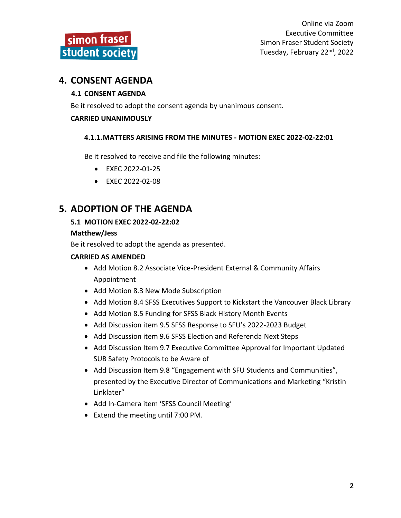

# **4. CONSENT AGENDA**

## **4.1 CONSENT AGENDA**

Be it resolved to adopt the consent agenda by unanimous consent.

#### **CARRIED UNANIMOUSLY**

## **4.1.1.MATTERS ARISING FROM THE MINUTES - MOTION EXEC 2022-02-22:01**

Be it resolved to receive and file the following minutes:

- EXEC 2022-01-25
- EXEC 2022-02-08

# **5. ADOPTION OF THE AGENDA**

## **5.1 MOTION EXEC 2022-02-22:02**

## **Matthew/Jess**

Be it resolved to adopt the agenda as presented.

## **CARRIED AS AMENDED**

- Add Motion 8.2 Associate Vice-President External & Community Affairs Appointment
- Add Motion 8.3 New Mode Subscription
- Add Motion 8.4 SFSS Executives Support to Kickstart the Vancouver Black Library
- Add Motion 8.5 Funding for SFSS Black History Month Events
- Add Discussion item 9.5 SFSS Response to SFU's 2022-2023 Budget
- Add Discussion item 9.6 SFSS Election and Referenda Next Steps
- Add Discussion Item 9.7 Executive Committee Approval for Important Updated SUB Safety Protocols to be Aware of
- Add Discussion Item 9.8 "Engagement with SFU Students and Communities", presented by the Executive Director of Communications and Marketing "Kristin Linklater"
- Add In-Camera item 'SFSS Council Meeting'
- Extend the meeting until 7:00 PM.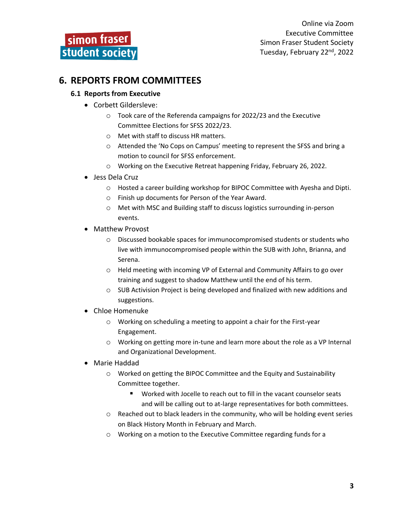# **6. REPORTS FROM COMMITTEES**

## **6.1 Reports from Executive**

- Corbett Gildersleve:
	- o Took care of the Referenda campaigns for 2022/23 and the Executive Committee Elections for SFSS 2022/23.
	- o Met with staff to discuss HR matters.
	- o Attended the 'No Cops on Campus' meeting to represent the SFSS and bring a motion to council for SFSS enforcement.
	- o Working on the Executive Retreat happening Friday, February 26, 2022.
- Jess Dela Cruz
	- o Hosted a career building workshop for BIPOC Committee with Ayesha and Dipti.
	- o Finish up documents for Person of the Year Award.
	- o Met with MSC and Building staff to discuss logistics surrounding in-person events.
- Matthew Provost
	- o Discussed bookable spaces for immunocompromised students or students who live with immunocompromised people within the SUB with John, Brianna, and Serena.
	- o Held meeting with incoming VP of External and Community Affairs to go over training and suggest to shadow Matthew until the end of his term.
	- o SUB Activision Project is being developed and finalized with new additions and suggestions.
- Chloe Homenuke
	- o Working on scheduling a meeting to appoint a chair for the First-year Engagement.
	- o Working on getting more in-tune and learn more about the role as a VP Internal and Organizational Development.
- Marie Haddad
	- o Worked on getting the BIPOC Committee and the Equity and Sustainability Committee together.
		- Worked with Jocelle to reach out to fill in the vacant counselor seats and will be calling out to at-large representatives for both committees.
	- o Reached out to black leaders in the community, who will be holding event series on Black History Month in February and March.
	- o Working on a motion to the Executive Committee regarding funds for a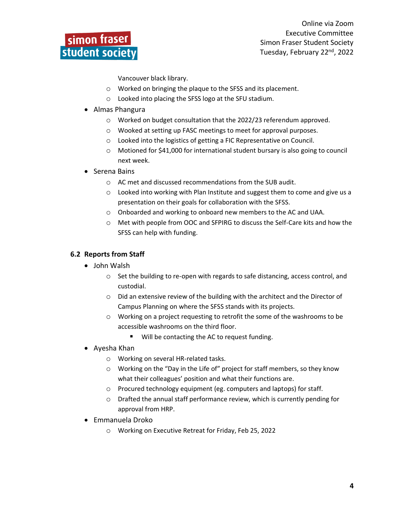

Vancouver black library.

- o Worked on bringing the plaque to the SFSS and its placement.
- o Looked into placing the SFSS logo at the SFU stadium.
- Almas Phangura
	- o Worked on budget consultation that the 2022/23 referendum approved.
	- o Wooked at setting up FASC meetings to meet for approval purposes.
	- o Looked into the logistics of getting a FIC Representative on Council.
	- o Motioned for \$41,000 for international student bursary is also going to council next week.
- Serena Bains
	- o AC met and discussed recommendations from the SUB audit.
	- $\circ$  Looked into working with Plan Institute and suggest them to come and give us a presentation on their goals for collaboration with the SFSS.
	- o Onboarded and working to onboard new members to the AC and UAA.
	- o Met with people from OOC and SFPIRG to discuss the Self-Care kits and how the SFSS can help with funding.

#### **6.2 Reports from Staff**

- John Walsh
	- o Set the building to re-open with regards to safe distancing, access control, and custodial.
	- o Did an extensive review of the building with the architect and the Director of Campus Planning on where the SFSS stands with its projects.
	- o Working on a project requesting to retrofit the some of the washrooms to be accessible washrooms on the third floor.
		- Will be contacting the AC to request funding.
- Ayesha Khan
	- o Working on several HR-related tasks.
	- o Working on the "Day in the Life of" project for staff members, so they know what their colleagues' position and what their functions are.
	- o Procured technology equipment (eg. computers and laptops) for staff.
	- o Drafted the annual staff performance review, which is currently pending for approval from HRP.
- Emmanuela Droko
	- o Working on Executive Retreat for Friday, Feb 25, 2022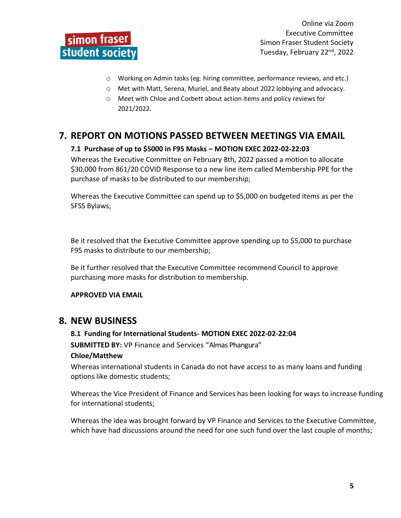

- o Working on Admin tasks (eg. hiring committee, performance reviews, and etc.)
- o Met with Matt, Serena, Muriel, and Beaty about 2022 lobbying and advocacy.
- o Meet with Chloe and Corbett about action items and policy reviews for 2021/2022.

# **7. REPORT ON MOTIONS PASSED BETWEEN MEETINGS VIA EMAIL**

#### **7.1 Purchase of up to \$5000 in F95 Masks – MOTION EXEC 2022-02-22:03**

Whereas the Executive Committee on February 8th, 2022 passed a motion to allocate \$30,000 from 861/20 COVID Response to a new line item called Membership PPE for the purchase of masks to be distributed to our membership;

Whereas the Executive Committee can spend up to \$5,000 on budgeted items as per the SFSS Bylaws;

Be it resolved that the Executive Committee approve spending up to \$5,000 to purchase F95 masks to distribute to our membership;

Be it further resolved that the Executive Committee recommend Council to approve purchasing more masks for distribution to membership.

**APPROVED VIA EMAIL**

## **8. NEW BUSINESS**

**8.1 Funding for International Students- MOTION EXEC 2022-02-22:04 SUBMITTED BY:** VP Finance and Services "Almas Phangura"

#### **Chloe/Matthew**

Whereas international students in Canada do not have access to as many loans and funding options like domestic students;

Whereas the Vice President of Finance and Services has been looking for ways to increase funding for international students;

Whereas the idea was brought forward by VP Finance and Services to the Executive Committee, which have had discussions around the need for one such fund over the last couple of months;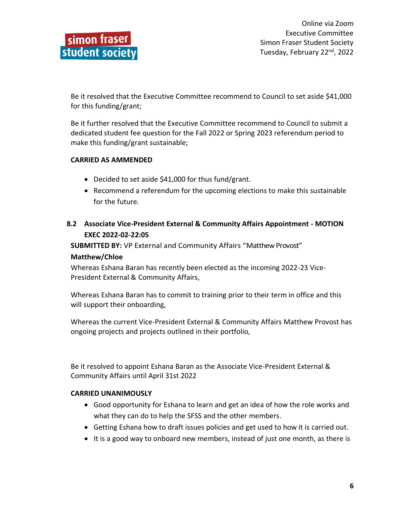Be it resolved that the Executive Committee recommend to Council to set aside \$41,000 for this funding/grant;

Be it further resolved that the Executive Committee recommend to Council to submit a dedicated student fee question for the Fall 2022 or Spring 2023 referendum period to make this funding/grant sustainable;

## **CARRIED AS AMMENDED**

- Decided to set aside \$41,000 for thus fund/grant.
- Recommend a referendum for the upcoming elections to make this sustainable for the future.

## **8.2 Associate Vice-President External & Community Affairs Appointment - MOTION EXEC 2022-02-22:05**

**SUBMITTED BY:** VP External and Community Affairs "Matthew Provost"

## **Matthew/Chloe**

Whereas Eshana Baran has recently been elected as the incoming 2022-23 Vice-President External & Community Affairs,

Whereas Eshana Baran has to commit to training prior to their term in office and this will support their onboarding,

Whereas the current Vice-President External & Community Affairs Matthew Provost has ongoing projects and projects outlined in their portfolio,

Be it resolved to appoint Eshana Baran as the Associate Vice-President External & Community Affairs until April 31st 2022

## **CARRIED UNANIMOUSLY**

- Good opportunity for Eshana to learn and get an idea of how the role works and what they can do to help the SFSS and the other members.
- Getting Eshana how to draft issues policies and get used to how it is carried out.
- It is a good way to onboard new members, instead of just one month, as there is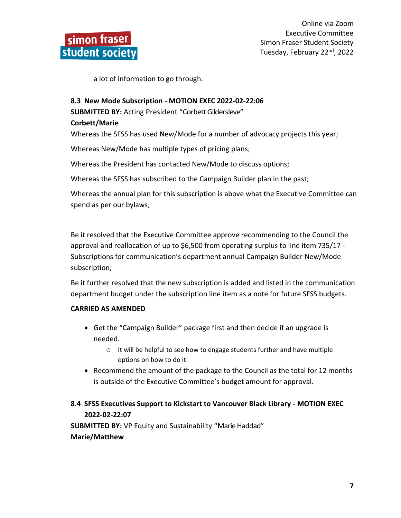

a lot of information to go through.

#### **8.3 New Mode Subscription - MOTION EXEC 2022-02-22:06**

**SUBMITTED BY:** Acting President "Corbett Gildersleve"

#### **Corbett/Marie**

Whereas the SFSS has used New/Mode for a number of advocacy projects this year;

Whereas New/Mode has multiple types of pricing plans;

Whereas the President has contacted New/Mode to discuss options;

Whereas the SFSS has subscribed to the Campaign Builder plan in the past;

Whereas the annual plan for this subscription is above what the Executive Committee can spend as per our bylaws;

Be it resolved that the Executive Committee approve recommending to the Council the approval and reallocation of up to \$6,500 from operating surplus to line item 735/17 - Subscriptions for communication's department annual Campaign Builder New/Mode subscription;

Be it further resolved that the new subscription is added and listed in the communication department budget under the subscription line item as a note for future SFSS budgets.

## **CARRIED AS AMENDED**

- Get the "Campaign Builder" package first and then decide if an upgrade is needed.
	- o It will be helpful to see how to engage students further and have multiple options on how to do it.
- Recommend the amount of the package to the Council as the total for 12 months is outside of the Executive Committee's budget amount for approval.

## **8.4 SFSS Executives Support to Kickstart to Vancouver Black Library - MOTION EXEC 2022-02-22:07**

**SUBMITTED BY:** VP Equity and Sustainability "Marie Haddad" **Marie/Matthew**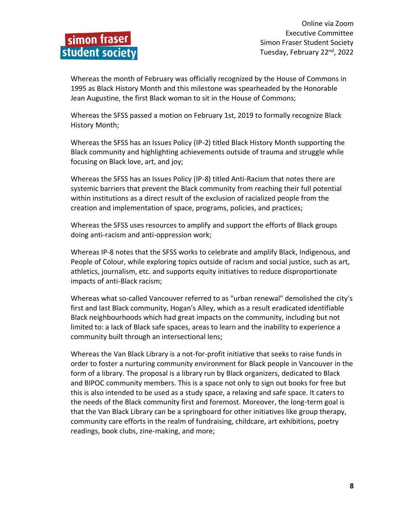Whereas the month of February was officially recognized by the House of Commons in 1995 as Black History Month and this milestone was spearheaded by the Honorable Jean Augustine, the first Black woman to sit in the House of Commons;

Whereas the SFSS passed a motion on February 1st, 2019 to formally recognize Black History Month;

Whereas the SFSS has an Issues Policy (IP-2) titled Black History Month supporting the Black community and highlighting achievements outside of trauma and struggle while focusing on Black love, art, and joy;

Whereas the SFSS has an Issues Policy (IP-8) titled Anti-Racism that notes there are systemic barriers that prevent the Black community from reaching their full potential within institutions as a direct result of the exclusion of racialized people from the creation and implementation of space, programs, policies, and practices;

Whereas the SFSS uses resources to amplify and support the efforts of Black groups doing anti-racism and anti-oppression work;

Whereas IP-8 notes that the SFSS works to celebrate and amplify Black, Indigenous, and People of Colour, while exploring topics outside of racism and social justice, such as art, athletics, journalism, etc. and supports equity initiatives to reduce disproportionate impacts of anti-Black racism;

Whereas what so-called Vancouver referred to as "urban renewal" demolished the city's first and last Black community, Hogan's Alley, which as a result eradicated identifiable Black neighbourhoods which had great impacts on the community, including but not limited to: a lack of Black safe spaces, areas to learn and the inability to experience a community built through an intersectional lens;

Whereas the Van Black Library is a not-for-profit initiative that seeks to raise funds in order to foster a nurturing community environment for Black people in Vancouver in the form of a library. The proposal is a library run by Black organizers, dedicated to Black and BIPOC community members. This is a space not only to sign out books for free but this is also intended to be used as a study space, a relaxing and safe space. It caters to the needs of the Black community first and foremost. Moreover, the long-term goal is that the Van Black Library can be a springboard for other initiatives like group therapy, community care efforts in the realm of fundraising, childcare, art exhibitions, poetry readings, book clubs, zine-making, and more;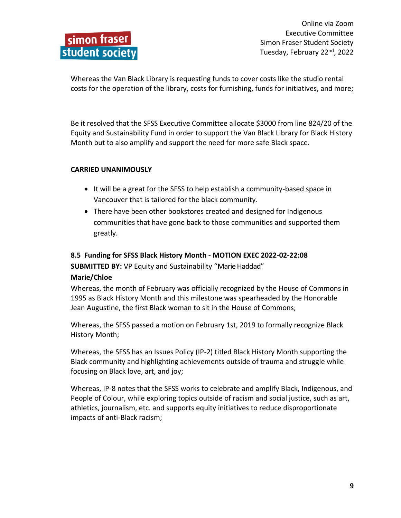Whereas the Van Black Library is requesting funds to cover costs like the studio rental costs for the operation of the library, costs for furnishing, funds for initiatives, and more;

Be it resolved that the SFSS Executive Committee allocate \$3000 from line 824/20 of the Equity and Sustainability Fund in order to support the Van Black Library for Black History Month but to also amplify and support the need for more safe Black space.

#### **CARRIED UNANIMOUSLY**

- It will be a great for the SFSS to help establish a community-based space in Vancouver that is tailored for the black community.
- There have been other bookstores created and designed for Indigenous communities that have gone back to those communities and supported them greatly.

## **8.5 Funding for SFSS Black History Month - MOTION EXEC 2022-02-22:08**

**SUBMITTED BY:** VP Equity and Sustainability "Marie Haddad"

## **Marie/Chloe**

Whereas, the month of February was officially recognized by the House of Commons in 1995 as Black History Month and this milestone was spearheaded by the Honorable Jean Augustine, the first Black woman to sit in the House of Commons;

Whereas, the SFSS passed a motion on February 1st, 2019 to formally recognize Black History Month;

Whereas, the SFSS has an Issues Policy (IP-2) titled Black History Month supporting the Black community and highlighting achievements outside of trauma and struggle while focusing on Black love, art, and joy;

Whereas, IP-8 notes that the SFSS works to celebrate and amplify Black, Indigenous, and People of Colour, while exploring topics outside of racism and social justice, such as art, athletics, journalism, etc. and supports equity initiatives to reduce disproportionate impacts of anti-Black racism;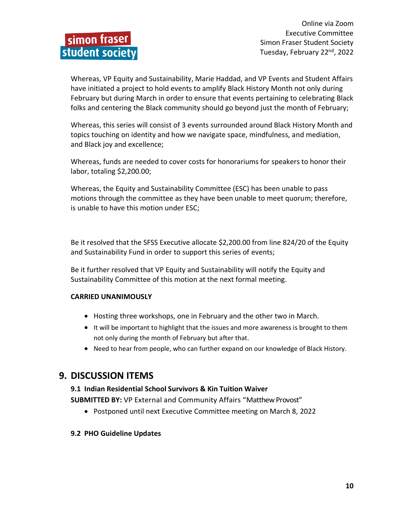Whereas, VP Equity and Sustainability, Marie Haddad, and VP Events and Student Affairs have initiated a project to hold events to amplify Black History Month not only during February but during March in order to ensure that events pertaining to celebrating Black folks and centering the Black community should go beyond just the month of February;

Whereas, this series will consist of 3 events surrounded around Black History Month and topics touching on identity and how we navigate space, mindfulness, and mediation, and Black joy and excellence;

Whereas, funds are needed to cover costs for honorariums for speakers to honor their labor, totaling \$2,200.00;

Whereas, the Equity and Sustainability Committee (ESC) has been unable to pass motions through the committee as they have been unable to meet quorum; therefore, is unable to have this motion under ESC;

Be it resolved that the SFSS Executive allocate \$2,200.00 from line 824/20 of the Equity and Sustainability Fund in order to support this series of events;

Be it further resolved that VP Equity and Sustainability will notify the Equity and Sustainability Committee of this motion at the next formal meeting.

## **CARRIED UNANIMOUSLY**

- Hosting three workshops, one in February and the other two in March.
- It will be important to highlight that the issues and more awareness is brought to them not only during the month of February but after that.
- Need to hear from people, who can further expand on our knowledge of Black History.

## **9. DISCUSSION ITEMS**

#### **9.1 Indian Residential School Survivors & Kin Tuition Waiver**

**SUBMITTED BY:** VP External and Community Affairs "Matthew Provost"

• Postponed until next Executive Committee meeting on March 8, 2022

#### **9.2 PHO Guideline Updates**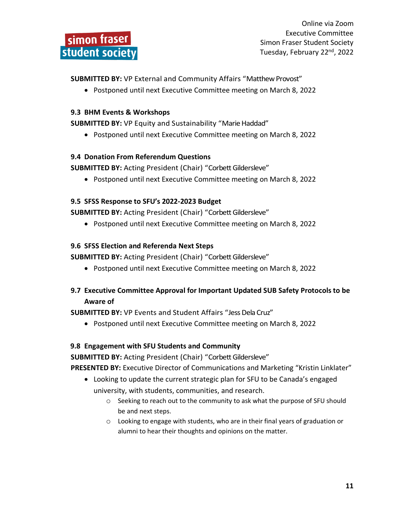

**SUBMITTED BY:** VP External and Community Affairs "Matthew Provost"

• Postponed until next Executive Committee meeting on March 8, 2022

## **9.3 BHM Events & Workshops**

**SUBMITTED BY:** VP Equity and Sustainability "Marie Haddad"

• Postponed until next Executive Committee meeting on March 8, 2022

## **9.4 Donation From Referendum Questions**

**SUBMITTED BY:** Acting President (Chair) "Corbett Gildersleve"

• Postponed until next Executive Committee meeting on March 8, 2022

## **9.5 SFSS Response to SFU's 2022-2023 Budget**

**SUBMITTED BY:** Acting President (Chair) "Corbett Gildersleve"

• Postponed until next Executive Committee meeting on March 8, 2022

## **9.6 SFSS Election and Referenda Next Steps**

**SUBMITTED BY:** Acting President (Chair) "Corbett Gildersleve"

- Postponed until next Executive Committee meeting on March 8, 2022
- **9.7 Executive Committee Approval for Important Updated SUB Safety Protocols to be Aware of**

**SUBMITTED BY:** VP Events and Student Affairs "Jess Dela Cruz"

• Postponed until next Executive Committee meeting on March 8, 2022

## **9.8 Engagement with SFU Students and Community**

**SUBMITTED BY:** Acting President (Chair) "Corbett Gildersleve"

**PRESENTED BY:** Executive Director of Communications and Marketing "Kristin Linklater"

- Looking to update the current strategic plan for SFU to be Canada's engaged university, with students, communities, and research.
	- o Seeking to reach out to the community to ask what the purpose of SFU should be and next steps.
	- o Looking to engage with students, who are in their final years of graduation or alumni to hear their thoughts and opinions on the matter.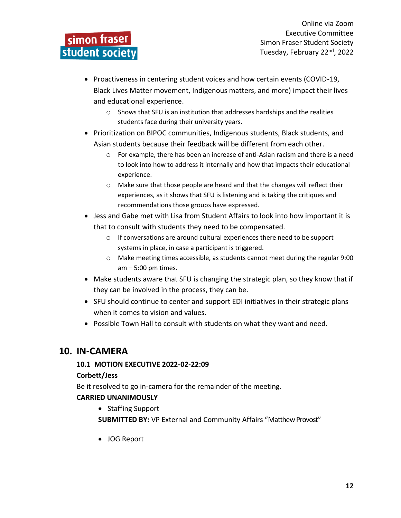- Proactiveness in centering student voices and how certain events (COVID-19, Black Lives Matter movement, Indigenous matters, and more) impact their lives and educational experience.
	- o Shows that SFU is an institution that addresses hardships and the realities students face during their university years.
- Prioritization on BIPOC communities, Indigenous students, Black students, and Asian students because their feedback will be different from each other.
	- o For example, there has been an increase of anti-Asian racism and there is a need to look into how to address it internally and how that impacts their educational experience.
	- o Make sure that those people are heard and that the changes will reflect their experiences, as it shows that SFU is listening and is taking the critiques and recommendations those groups have expressed.
- Jess and Gabe met with Lisa from Student Affairs to look into how important it is that to consult with students they need to be compensated.
	- o If conversations are around cultural experiences there need to be support systems in place, in case a participant is triggered.
	- o Make meeting times accessible, as students cannot meet during the regular 9:00  $am - 5:00$  pm times.
- Make students aware that SFU is changing the strategic plan, so they know that if they can be involved in the process, they can be.
- SFU should continue to center and support EDI initiatives in their strategic plans when it comes to vision and values.
- Possible Town Hall to consult with students on what they want and need.

# **10. IN-CAMERA**

## **10.1 MOTION EXECUTIVE 2022-02-22:09**

## **Corbett/Jess**

Be it resolved to go in-camera for the remainder of the meeting.

## **CARRIED UNANIMOUSLY**

- Staffing Support
- **SUBMITTED BY:** VP External and Community Affairs "Matthew Provost"
- JOG Report